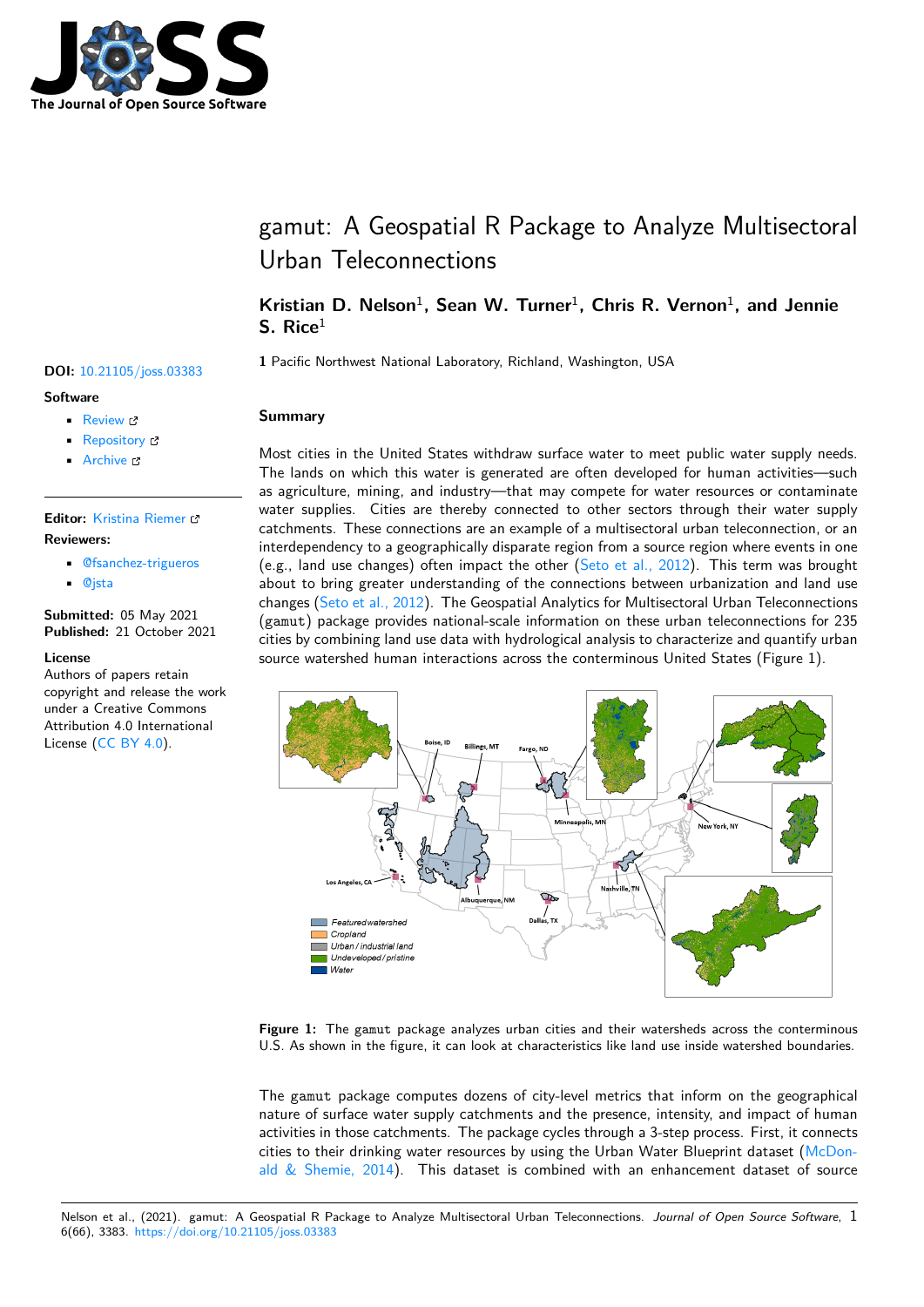

# gamut: A Geospatial R Package to Analyze Multisectoral Urban Teleconnections

# Kristian D. Nelson<sup>1</sup>, Sean W. Turner<sup>1</sup>, Chris R. Vernon<sup>1</sup>, and Jennie **S. Rice**<sup>1</sup>

**<sup>1</sup>** Pacific Northwest National Laboratory, Richland, Washington, USA **DOI:** 10.21105/joss.03383

# **Summary**

Most cities in the United States withdraw surface water to meet public water supply needs. The lands on which this water is generated are often developed for human activities—such as agriculture, mining, and industry—that may compete for water resources or contaminate water supplies. Cities are thereby connected to other sectors through their water supply catchments. These connections are an example of a multisectoral urban teleconnection, or an interdependency to a geographically disparate region from a source region where events in one (e.g., land use changes) often impact the other (Seto et al., 2012). This term was brought about to bring greater understanding of the connections between urbanization and land use changes (Seto et al., 2012). The Geospatial Analytics for Multisectoral Urban Teleconnections (gamut) package provides national-scale information on these urban teleconnections for 235 cities by combining land use data with hydrologica[l analysis to chara](#page-5-0)cterize and quantify urban source watershed human interactions across the conterminous United States (Figure 1).



**Figure 1:** The gamut package analyzes urban cities and their watersheds across the conterminous U.S. As shown in the figure, it can look at characteristics like land use inside watershed boundaries.

The gamut package computes dozens of city-level metrics that inform on the geographical nature of surface water supply catchments and the presence, intensity, and impact of human activities in those catchments. The package cycles through a 3-step process. First, it connects cities to their drinking water resources by using the Urban Water Blueprint dataset (McDonald  $\&$  Shemie, 2014). This dataset is combined with an enhancement dataset of source

# **Software**

- Review <sub>12</sub>
- [Repository](https://doi.org/10.21105/joss.03383) &
- Archive

# **Editor:** [Kristina R](https://github.com/IMMM-SFA/gamut)iemer **Revie[wers:](https://doi.org/10.5281/zenodo.5590217)**

- @fsanchez-trigueros
- @[jsta](https://twitter.com/KristinaRiemer)

**Submitted:** 05 May 2021 **Published:** [21 October 20](https://github.com/fsanchez-trigueros)21

### **Licen[se](https://github.com/jsta)**

Authors of papers retain copyright and release the work under a Creative Commons Attribution 4.0 International License (CC BY 4.0).

Nelson et al., (2021). gamut: A Geospatial R Package to Analyze Multisectoral Urban Teleconnections. *Journal of Open Source So[ftware](#page-4-0)*, 16(66), 3383. https://doi.org/10.21[105/joss.03383](#page-4-0)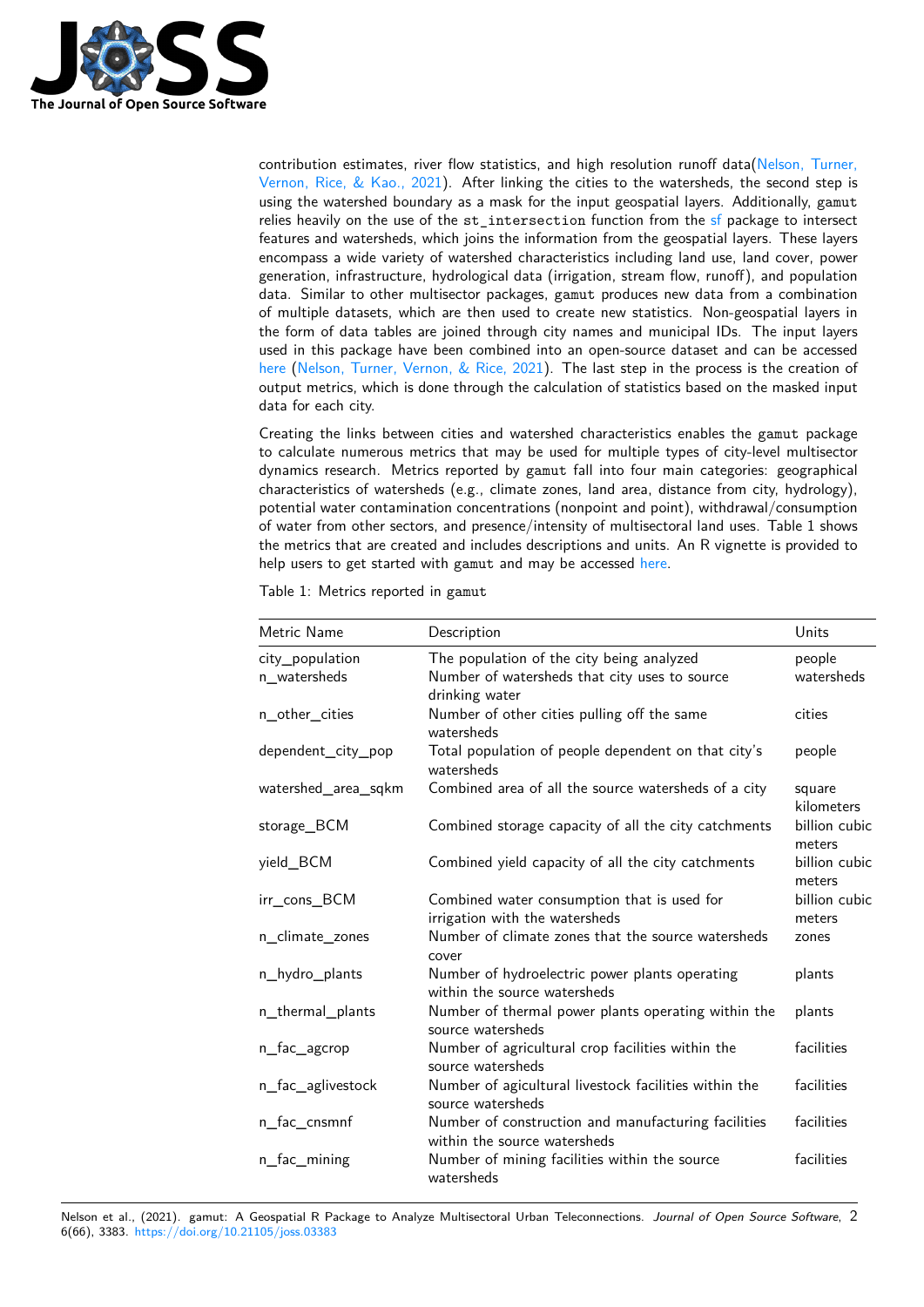

contribution estimates, river flow statistics, and high resolution runoff data(Nelson, Turner, Vernon, Rice,  $\&$  Kao., 2021). After linking the cities to the watersheds, the second step is using the watershed boundary as a mask for the input geospatial layers. Additionally, gamut relies heavily on the use of the st\_intersection function from the sf package to intersect features and watersheds, which joins the information from the geospatial laye[rs. These layers](#page-5-1) [encompass a wide variety of](#page-5-1) watershed characteristics including land use, land cover, power generation, infrastructure, hydrological data (irrigation, stream flow, runoff), and population data. Similar to other multisector packages, gamut produces new da[ta](https://cran.r-project.org/web/packages/sf/index.html) from a combination of multiple datasets, which are then used to create new statistics. Non-geospatial layers in the form of data tables are joined through city names and municipal IDs. The input layers used in this package have been combined into an open-source dataset and can be accessed here (Nelson, Turner, Vernon, & Rice, 2021). The last step in the process is the creation of output metrics, which is done through the calculation of statistics based on the masked input data for each city.

Creating the links between cities and watershed characteristics enables the gamut package [to ca](https://zenodo.org/record/5554939#.YV9dnNrMJPY)l[culate numerous metrics that may be](#page-4-1) used for multiple types of city-level multisector dynamics research. Metrics reported by gamut fall into four main categories: geographical characteristics of watersheds (e.g., climate zones, land area, distance from city, hydrology), potential water contamination concentrations (nonpoint and point), withdrawal/consumption of water from other sectors, and presence/intensity of multisectoral land uses. Table 1 shows the metrics that are created and includes descriptions and units. An R vignette is provided to help users to get started with gamut and may be accessed here.

Table 1: Metrics reported in gamut

| Metric Name         | Description                                                                         | Units                   |
|---------------------|-------------------------------------------------------------------------------------|-------------------------|
| city_population     | The population of the city being analyzed                                           | people                  |
| n_watersheds        | Number of watersheds that city uses to source<br>drinking water                     | watersheds              |
| n_other_cities      | Number of other cities pulling off the same<br>watersheds                           | cities                  |
| dependent_city_pop  | Total population of people dependent on that city's<br>watersheds                   | people                  |
| watershed_area_sqkm | Combined area of all the source watersheds of a city                                | square<br>kilometers    |
| storage_BCM         | Combined storage capacity of all the city catchments                                | billion cubic<br>meters |
| yield_BCM           | Combined yield capacity of all the city catchments                                  | billion cubic<br>meters |
| irr_cons_BCM        | Combined water consumption that is used for<br>irrigation with the watersheds       | billion cubic<br>meters |
| n_climate_zones     | Number of climate zones that the source watersheds<br>cover                         | zones                   |
| n_hydro_plants      | Number of hydroelectric power plants operating<br>within the source watersheds      | plants                  |
| n_thermal_plants    | Number of thermal power plants operating within the<br>source watersheds            | plants                  |
| n_fac_agcrop        | Number of agricultural crop facilities within the<br>source watersheds              | facilities              |
| n_fac_aglivestock   | Number of agicultural livestock facilities within the<br>source watersheds          | facilities              |
| n_fac_cnsmnf        | Number of construction and manufacturing facilities<br>within the source watersheds | facilities              |
| n_fac_mining        | Number of mining facilities within the source<br>watersheds                         | facilities              |

Nelson et al., (2021). gamut: A Geospatial R Package to Analyze Multisectoral Urban Teleconnections. *Journal of Open Source Software*, 26(66), 3383. https://doi.org/10.21105/joss.03383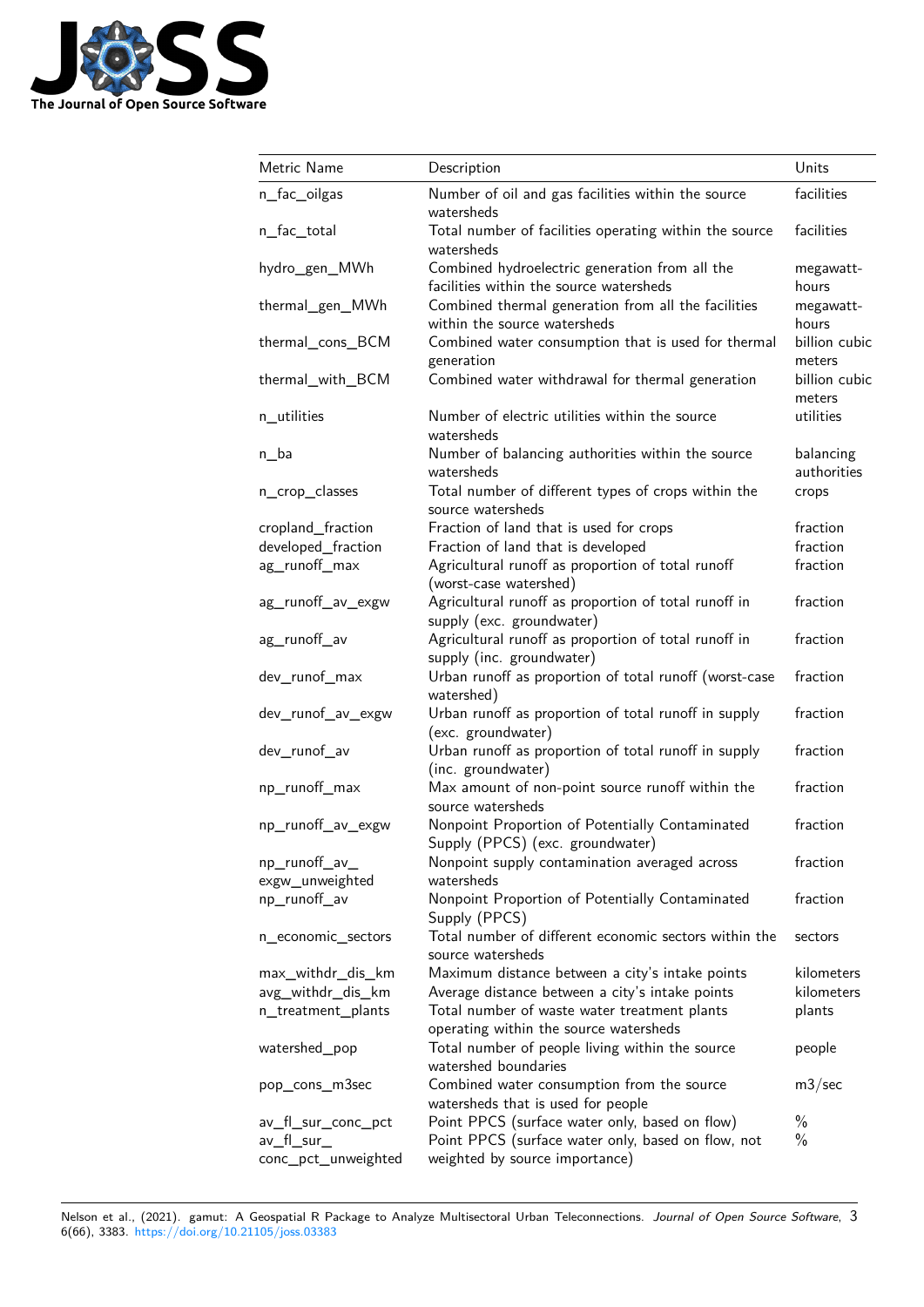

| Metric Name                      | Description                                                                               | Units                    |
|----------------------------------|-------------------------------------------------------------------------------------------|--------------------------|
| n_fac_oilgas                     | Number of oil and gas facilities within the source<br>watersheds                          | facilities               |
| n_fac_total                      | Total number of facilities operating within the source<br>watersheds                      | facilities               |
| hydro_gen_MWh                    | Combined hydroelectric generation from all the<br>facilities within the source watersheds | megawatt-<br>hours       |
| thermal_gen_MWh                  | Combined thermal generation from all the facilities<br>within the source watersheds       | megawatt-<br>hours       |
| thermal_cons_BCM                 | Combined water consumption that is used for thermal<br>generation                         | billion cubic<br>meters  |
| thermal_with_BCM                 | Combined water withdrawal for thermal generation                                          | billion cubic<br>meters  |
| n_utilities                      | Number of electric utilities within the source<br>watersheds                              | utilities                |
| $n_b$                            | Number of balancing authorities within the source<br>watersheds                           | balancing<br>authorities |
| n_crop_classes                   | Total number of different types of crops within the<br>source watersheds                  | crops                    |
| cropland_fraction                | Fraction of land that is used for crops                                                   | fraction                 |
| developed_fraction               | Fraction of land that is developed                                                        | fraction                 |
| ag_runoff_max                    | Agricultural runoff as proportion of total runoff<br>(worst-case watershed)               | fraction                 |
| ag_runoff_av_exgw                | Agricultural runoff as proportion of total runoff in<br>supply (exc. groundwater)         | fraction                 |
| ag_runoff_av                     | Agricultural runoff as proportion of total runoff in<br>supply (inc. groundwater)         | fraction                 |
| dev_runof_max                    | Urban runoff as proportion of total runoff (worst-case<br>watershed)                      | fraction                 |
| dev_runof_av_exgw                | Urban runoff as proportion of total runoff in supply<br>(exc. groundwater)                | fraction                 |
| dev_runof_av                     | Urban runoff as proportion of total runoff in supply<br>(inc. groundwater)                | fraction                 |
| np_runoff_max                    | Max amount of non-point source runoff within the<br>source watersheds                     | fraction                 |
| np_runoff_av_exgw                | Nonpoint Proportion of Potentially Contaminated<br>Supply (PPCS) (exc. groundwater)       | fraction                 |
| np_runoff_av_<br>exgw_unweighted | Nonpoint supply contamination averaged across<br>watersheds                               | fraction                 |
| np_runoff_av                     | Nonpoint Proportion of Potentially Contaminated<br>Supply (PPCS)                          | fraction                 |
| n_economic_sectors               | Total number of different economic sectors within the<br>source watersheds                | sectors                  |
| max_withdr_dis_km                | Maximum distance between a city's intake points                                           | kilometers               |
| avg_withdr_dis_km                | Average distance between a city's intake points                                           | kilometers               |
| n_treatment_plants               | Total number of waste water treatment plants                                              | plants                   |
|                                  | operating within the source watersheds                                                    |                          |
| watershed_pop                    | Total number of people living within the source<br>watershed boundaries                   | people                   |
| pop_cons_m3sec                   | Combined water consumption from the source<br>watersheds that is used for people          | m3/sec                   |
| av_fl_sur_conc_pct               | Point PPCS (surface water only, based on flow)                                            | $\%$                     |
| av_fl_sur_                       | Point PPCS (surface water only, based on flow, not                                        | $\%$                     |
| conc_pct_unweighted              | weighted by source importance)                                                            |                          |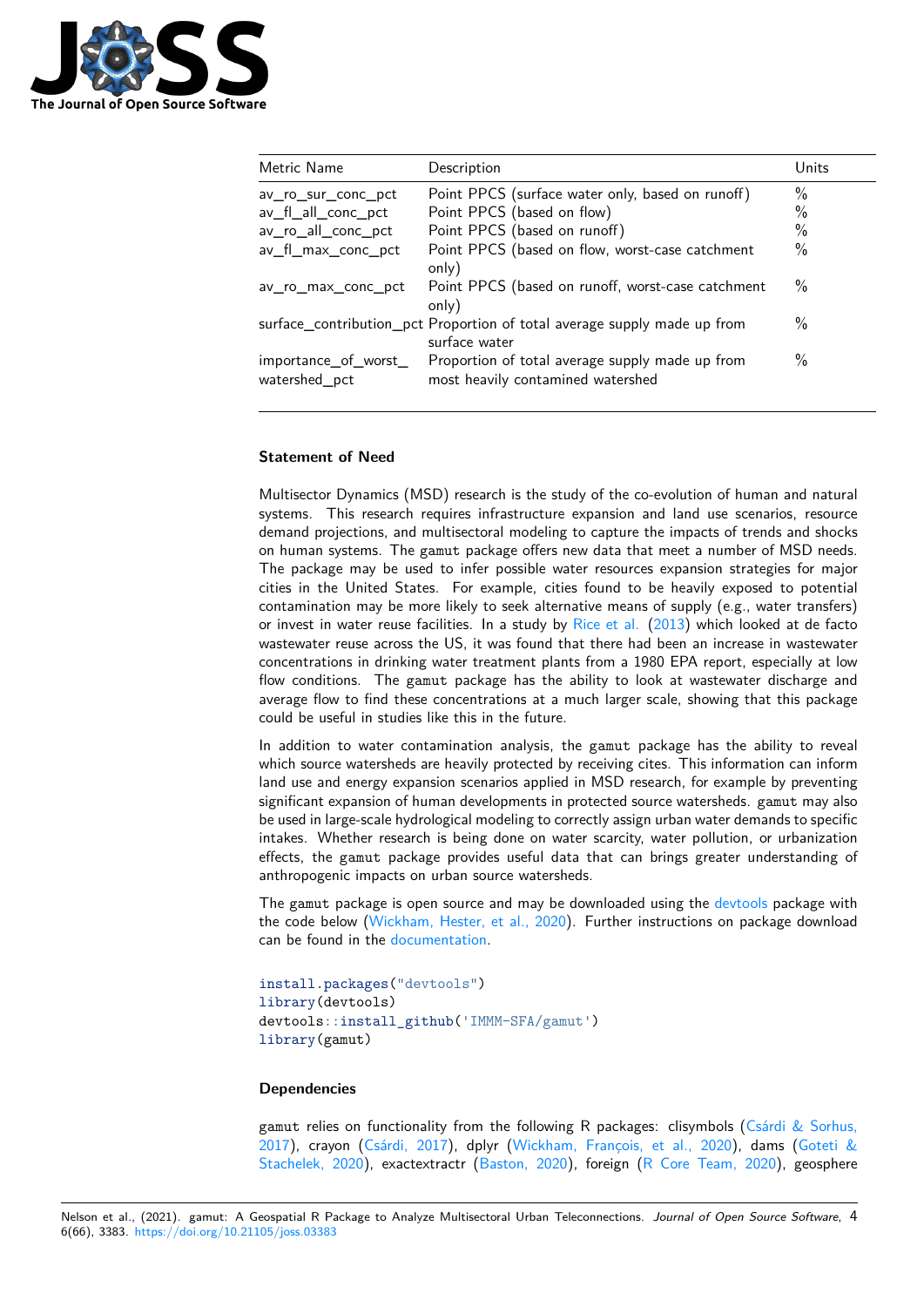

| Metric Name                           | Description                                                                               | Units         |
|---------------------------------------|-------------------------------------------------------------------------------------------|---------------|
| av ro sur conc pct                    | Point PPCS (surface water only, based on runoff)                                          | $\%$          |
| av_fl_all_conc_pct                    | Point PPCS (based on flow)                                                                | $\%$          |
| av_ro_all_conc_pct                    | Point PPCS (based on runoff)                                                              | $\%$          |
| av_fl_max_conc_pct                    | Point PPCS (based on flow, worst-case catchment<br>only)                                  | $\frac{0}{0}$ |
| av ro max conc pct                    | Point PPCS (based on runoff, worst-case catchment<br>only)                                | $\%$          |
|                                       | surface_contribution_pct Proportion of total average supply made up from<br>surface water | $\%$          |
| importance_of_worst_<br>watershed pct | Proportion of total average supply made up from<br>most heavily contamined watershed      | $\%$          |

# **Statement of Need**

Multisector Dynamics (MSD) research is the study of the co-evolution of human and natural systems. This research requires infrastructure expansion and land use scenarios, resource demand projections, and multisectoral modeling to capture the impacts of trends and shocks on human systems. The gamut package offers new data that meet a number of MSD needs. The package may be used to infer possible water resources expansion strategies for major cities in the United States. For example, cities found to be heavily exposed to potential contamination may be more likely to seek alternative means of supply (e.g., water transfers) or invest in water reuse facilities. In a study by Rice et al. (2013) which looked at de facto wastewater reuse across the US, it was found that there had been an increase in wastewater concentrations in drinking water treatment plants from a 1980 EPA report, especially at low flow conditions. The gamut package has the ability to look at wastewater discharge and average flow to find these concentrations at a [much larger](#page-5-2) s[cale,](#page-5-2) showing that this package could be useful in studies like this in the future.

In addition to water contamination analysis, the gamut package has the ability to reveal which source watersheds are heavily protected by receiving cites. This information can inform land use and energy expansion scenarios applied in MSD research, for example by preventing significant expansion of human developments in protected source watersheds. gamut may also be used in large-scale hydrological modeling to correctly assign urban water demands to specific intakes. Whether research is being done on water scarcity, water pollution, or urbanization effects, the gamut package provides useful data that can brings greater understanding of anthropogenic impacts on urban source watersheds.

The gamut package is open source and may be downloaded using the devtools package with the code below (Wickham, Hester, et al., 2020). Further instructions on package download can be found in the documentation.

```
install.packages("devtools")
library(devtools)
devtools::install_github('IMMM-SFA/gamut')
library(gamut)
```
# **Dependencies**

gamut relies on functionality from the following R packages: clisymbols (Csárdi & Sorhus, 2017), crayon (Csárdi, 2017), dplyr (Wickham, François, et al., 2020), dams (Goteti & Stachelek, 2020), exactextractr (Baston, 2020), foreign (R Core Team, 2020), geosphere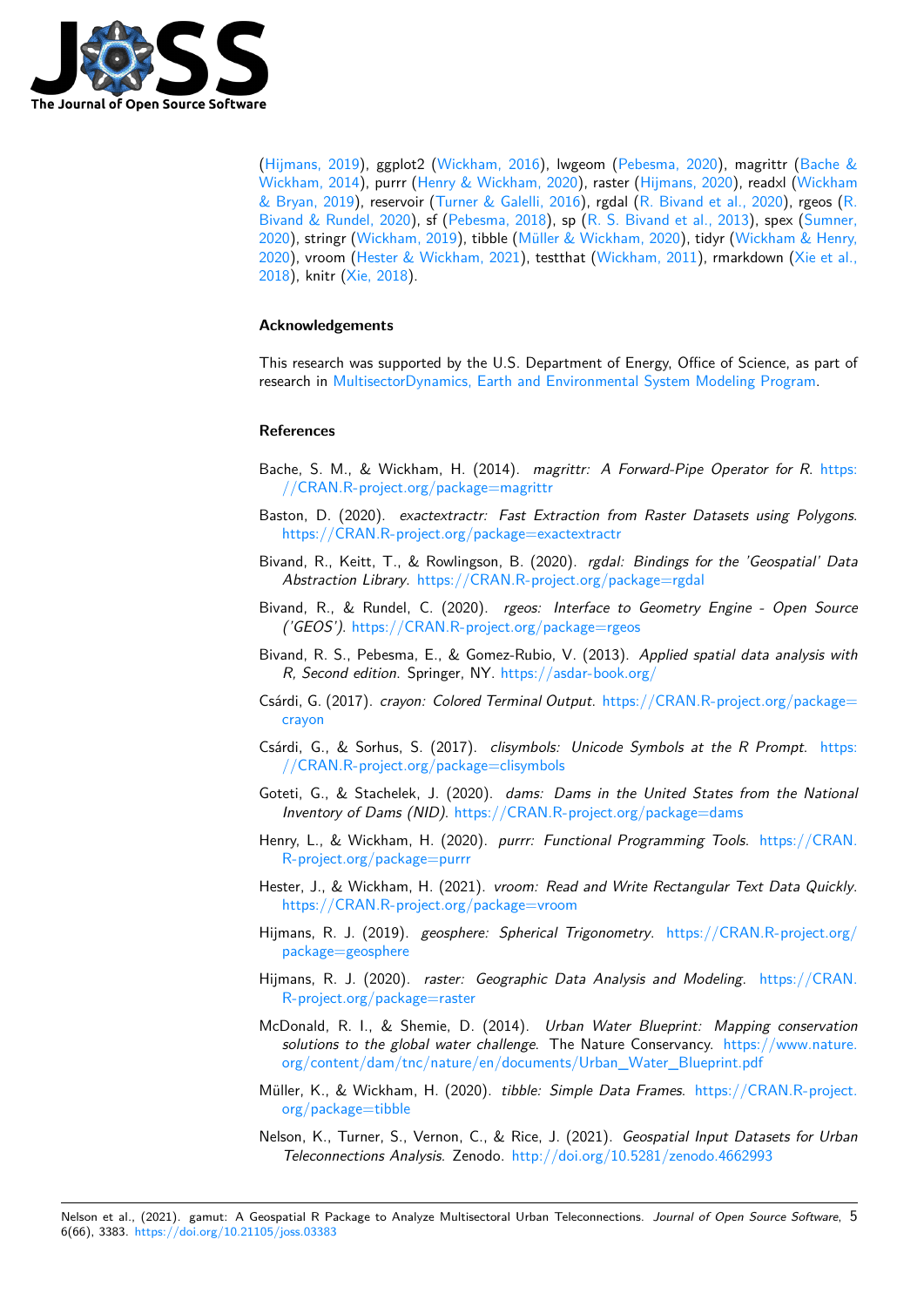

(Hijmans, 2019), ggplot2 (Wickham, 2016), lwgeom (Pebesma, 2020), magrittr (Bache & Wickham, 2014), purrr (Henry & Wickham, 2020), raster (Hijmans, 2020), readxl (Wickham & Bryan, 2019), reservoir (Turner & Galelli, 2016), rgdal (R. Bivand et al., 2020), rgeos (R. Bivand & Rundel, 2020), sf (Pebesma, 2018), sp (R. S. Bivand et al., 2013), spex (Sumner, [2020\), stringr \(W](#page-4-5)ickham, 2[019\), tibble \(Mül](#page-5-5)ler & Wick[ham, 2020\), tidy](#page-5-6)r (Wickham [& Henry,](#page-4-6) [2020\), vroom \(H](#page-4-6)ester & [Wickham, 2021\), testtha](#page-4-7)t (Wickh[am, 2011\), rma](#page-4-8)rkdown ([Xie et al.,](#page-5-7) [2018\), knitr \(X](#page-5-7)ie, 2018).

# **[Ackn](#page-5-10)owledge[ments](#page-4-9)**

[This](#page-5-11) research [was supp](#page-5-12)orted by the U.S. Department of Energy, Office of Science, as part of research in MultisectorDynamics, Earth and Environmental System Modeling Program.

# **References**

- Bache, S. M., & Wickham, H. (2014). *[magrittr: A Forward-Pipe Operator for R](https://climatemodeling.science.energy.gov/program/multisector-dynamics)*. https: //CRAN.R-project.org/package=magrittr
- <span id="page-4-6"></span>Baston, D. (2020). *exactextractr: Fast Extraction from Raster Datasets using Polygons*. https://CRAN.R-project.org/package=exactextractr
- Biv[and, R., Keitt, T., & Rowlingson, B. \(202](https://CRAN.R-project.org/package=magrittr)0). *rgdal: Bindings for the 'Geospatial' [Data](https://CRAN.R-project.org/package=magrittr)* Abstraction Library. https://CRAN.R-project.org/package=rgdal
- Biv[and, R., & Rundel, C. \(2020\).](https://CRAN.R-project.org/package=exactextractr) *rgeos: Interface to Geometry Engine Open Source ('GEOS')*. https://CRAN.R-project.org/package=rgeos
- Bivand, R. S., Pebesma[, E., & Gomez-Rubio, V. \(2013\).](https://CRAN.R-project.org/package=rgdal) *Applied spatial data analysis with R, Second edition*. Springer, NY. https://asdar-book.org/
- Csárdi, G. (2017). *[crayon: Colored Terminal Output](https://CRAN.R-project.org/package=rgeos)*. https://CRAN.R-project.org/package= crayon
- Csárdi, G., & Sorhus, S. (2017). *cl[isymbols: Unicode Symb](https://asdar-book.org/)ols at the R Prompt*. https: //CRAN.R-project.org/package=clisymbols
- <span id="page-4-3"></span>Go[teti, G.](https://CRAN.R-project.org/package=crayon), & Stachelek, J. (2020). *dams: Dams i[n the United States from the National](https://CRAN.R-project.org/package=crayon) Inventory of Dams (NID)*. https://CRAN.R-project.org/package=dams
- <span id="page-4-2"></span>He[nry, L., & Wickham, H. \(2020\).](https://CRAN.R-project.org/package=clisymbols) *purrr: Functional Programming Tools*. https://[CRAN.](https://CRAN.R-project.org/package=clisymbols) R-project.org/package=purrr
- <span id="page-4-4"></span>Hester, J., & Wickham, H. (2021). *[vroom: Read and Write Rectangular T](https://CRAN.R-project.org/package=dams)ext Data Quickly*. https://CRAN.R-project.org/package=vroom
- <span id="page-4-7"></span>Hij[mans, R. J. \(2019\).](https://CRAN.R-project.org/package=purrr) *geosphere: Spherical Trigonometry*. https://CRA[N.R-project.org/](https://CRAN.R-project.org/package=purrr) package=geosphere
- <span id="page-4-9"></span>Hijmans, R. J. (2020). *[raster: Geographic Dat](https://CRAN.R-project.org/package=vroom)a Analysis and Modeling*. https://CRAN. R-project.org/package=raster
- <span id="page-4-5"></span>Mc[Donald, R. I., & Sh](https://CRAN.R-project.org/package=geosphere)emie, D. (2014). *Urban Water Blu[eprint: Mapping conservation](https://CRAN.R-project.org/package=geosphere) solutions to the global water challenge*. The Nature Conservancy. https[://www.nature.](https://CRAN.R-project.org/package=raster) [org/content/dam/tnc/nature/](https://CRAN.R-project.org/package=raster)en/documents/Urban\_Water\_Blueprint.pdf
- <span id="page-4-8"></span><span id="page-4-0"></span>Müller, K., & Wickham, H. (2020). *tibble: Simple Data Frames*. https://CRAN.R-project. org/package=tibble
- <span id="page-4-1"></span>Nel[son, K., Turner, S., Vernon, C., & Rice, J. \(2021\).](https://www.nature.org/content/dam/tnc/nature/en/documents/Urban_Water_Blueprint.pdf) *Geospatial Inpu[t Datasets for Urban](https://www.nature.org/content/dam/tnc/nature/en/documents/Urban_Water_Blueprint.pdf) Teleconnections Analysis*. Zenodo. http://doi.org/10.5281/zen[odo.4662993](https://CRAN.R-project.org/package=tibble)